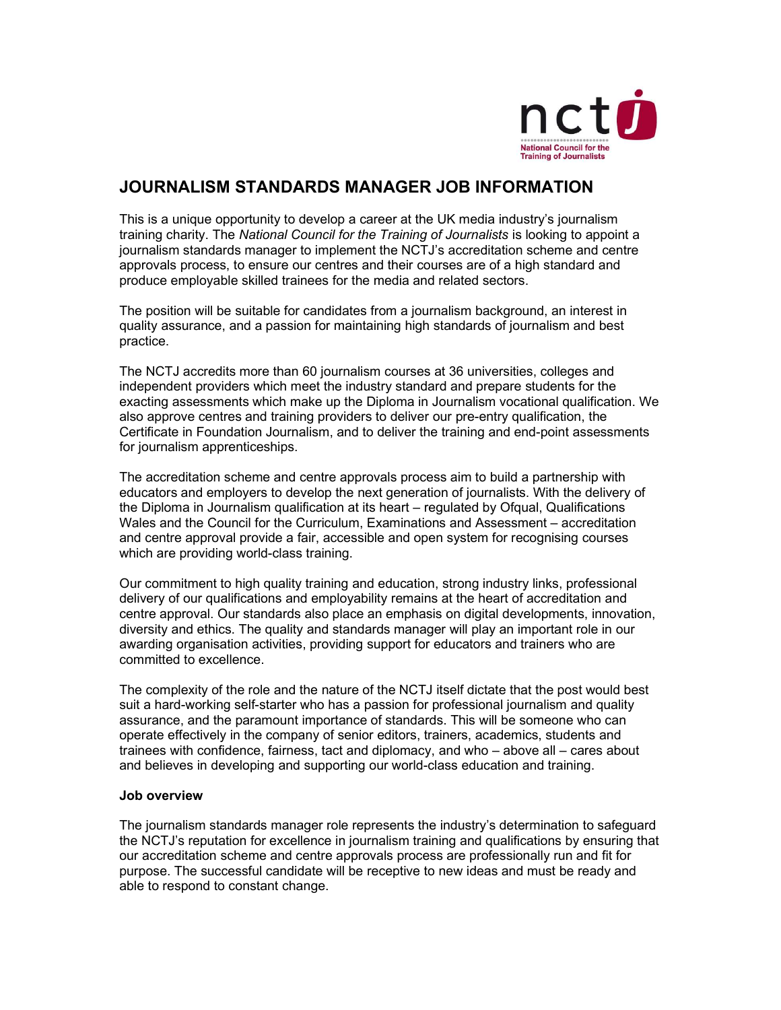

# JOURNALISM STANDARDS MANAGER JOB INFORMATION

This is a unique opportunity to develop a career at the UK media industry's journalism training charity. The National Council for the Training of Journalists is looking to appoint a journalism standards manager to implement the NCTJ's accreditation scheme and centre approvals process, to ensure our centres and their courses are of a high standard and produce employable skilled trainees for the media and related sectors.

The position will be suitable for candidates from a journalism background, an interest in quality assurance, and a passion for maintaining high standards of journalism and best practice.

The NCTJ accredits more than 60 journalism courses at 36 universities, colleges and independent providers which meet the industry standard and prepare students for the exacting assessments which make up the Diploma in Journalism vocational qualification. We also approve centres and training providers to deliver our pre-entry qualification, the Certificate in Foundation Journalism, and to deliver the training and end-point assessments for journalism apprenticeships.

The accreditation scheme and centre approvals process aim to build a partnership with educators and employers to develop the next generation of journalists. With the delivery of the Diploma in Journalism qualification at its heart – regulated by Ofqual, Qualifications Wales and the Council for the Curriculum, Examinations and Assessment – accreditation and centre approval provide a fair, accessible and open system for recognising courses which are providing world-class training.

Our commitment to high quality training and education, strong industry links, professional delivery of our qualifications and employability remains at the heart of accreditation and centre approval. Our standards also place an emphasis on digital developments, innovation, diversity and ethics. The quality and standards manager will play an important role in our awarding organisation activities, providing support for educators and trainers who are committed to excellence.

The complexity of the role and the nature of the NCTJ itself dictate that the post would best suit a hard-working self-starter who has a passion for professional journalism and quality assurance, and the paramount importance of standards. This will be someone who can operate effectively in the company of senior editors, trainers, academics, students and trainees with confidence, fairness, tact and diplomacy, and who – above all – cares about and believes in developing and supporting our world-class education and training.

## Job overview

The journalism standards manager role represents the industry's determination to safeguard the NCTJ's reputation for excellence in journalism training and qualifications by ensuring that our accreditation scheme and centre approvals process are professionally run and fit for purpose. The successful candidate will be receptive to new ideas and must be ready and able to respond to constant change.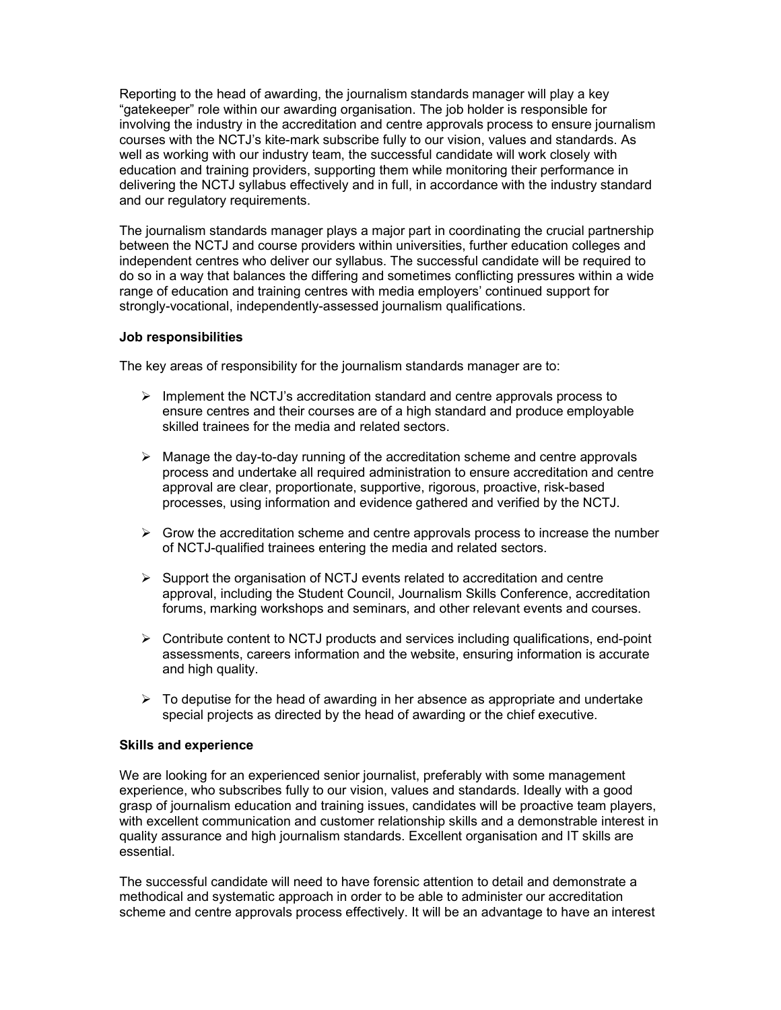Reporting to the head of awarding, the journalism standards manager will play a key "gatekeeper" role within our awarding organisation. The job holder is responsible for involving the industry in the accreditation and centre approvals process to ensure journalism courses with the NCTJ's kite-mark subscribe fully to our vision, values and standards. As well as working with our industry team, the successful candidate will work closely with education and training providers, supporting them while monitoring their performance in delivering the NCTJ syllabus effectively and in full, in accordance with the industry standard and our regulatory requirements.

The journalism standards manager plays a major part in coordinating the crucial partnership between the NCTJ and course providers within universities, further education colleges and independent centres who deliver our syllabus. The successful candidate will be required to do so in a way that balances the differing and sometimes conflicting pressures within a wide range of education and training centres with media employers' continued support for strongly-vocational, independently-assessed journalism qualifications.

#### Job responsibilities

The key areas of responsibility for the journalism standards manager are to:

- $\triangleright$  Implement the NCTJ's accreditation standard and centre approvals process to ensure centres and their courses are of a high standard and produce employable skilled trainees for the media and related sectors.
- $\triangleright$  Manage the day-to-day running of the accreditation scheme and centre approvals process and undertake all required administration to ensure accreditation and centre approval are clear, proportionate, supportive, rigorous, proactive, risk-based processes, using information and evidence gathered and verified by the NCTJ.
- $\triangleright$  Grow the accreditation scheme and centre approvals process to increase the number of NCTJ-qualified trainees entering the media and related sectors.
- $\triangleright$  Support the organisation of NCTJ events related to accreditation and centre approval, including the Student Council, Journalism Skills Conference, accreditation forums, marking workshops and seminars, and other relevant events and courses.
- $\triangleright$  Contribute content to NCTJ products and services including qualifications, end-point assessments, careers information and the website, ensuring information is accurate and high quality.
- $\triangleright$  To deputise for the head of awarding in her absence as appropriate and undertake special projects as directed by the head of awarding or the chief executive.

#### Skills and experience

We are looking for an experienced senior journalist, preferably with some management experience, who subscribes fully to our vision, values and standards. Ideally with a good grasp of journalism education and training issues, candidates will be proactive team players, with excellent communication and customer relationship skills and a demonstrable interest in quality assurance and high journalism standards. Excellent organisation and IT skills are essential.

The successful candidate will need to have forensic attention to detail and demonstrate a methodical and systematic approach in order to be able to administer our accreditation scheme and centre approvals process effectively. It will be an advantage to have an interest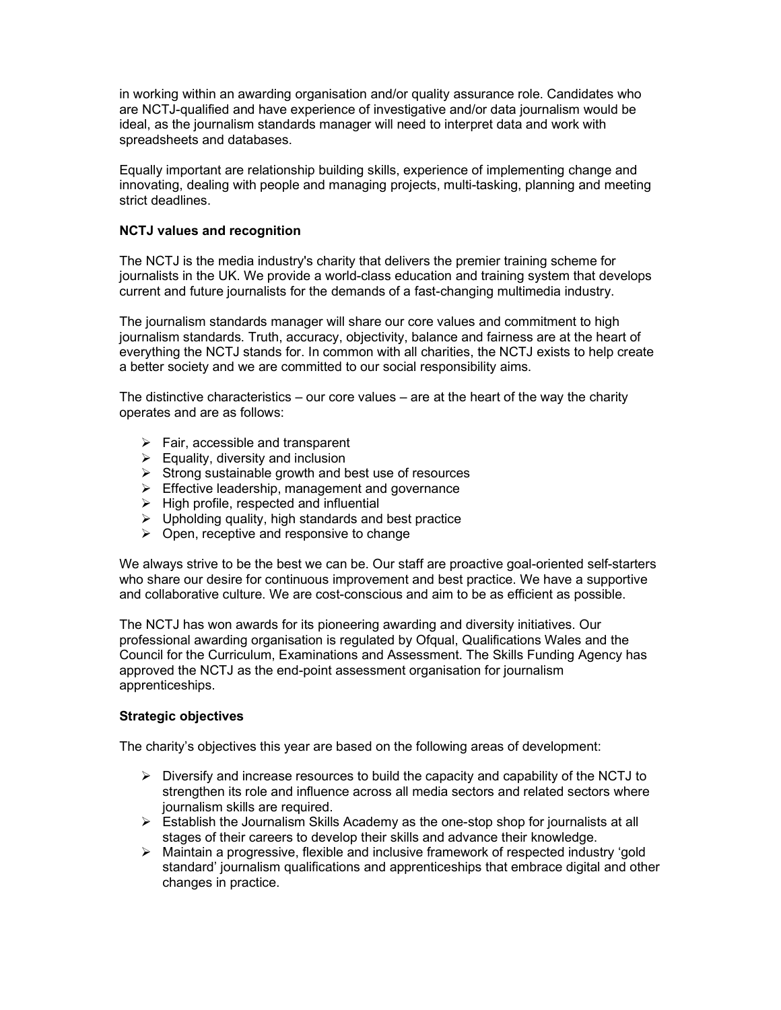in working within an awarding organisation and/or quality assurance role. Candidates who are NCTJ-qualified and have experience of investigative and/or data journalism would be ideal, as the journalism standards manager will need to interpret data and work with spreadsheets and databases.

Equally important are relationship building skills, experience of implementing change and innovating, dealing with people and managing projects, multi-tasking, planning and meeting strict deadlines.

## NCTJ values and recognition

The NCTJ is the media industry's charity that delivers the premier training scheme for journalists in the UK. We provide a world-class education and training system that develops current and future journalists for the demands of a fast-changing multimedia industry.

The journalism standards manager will share our core values and commitment to high journalism standards. Truth, accuracy, objectivity, balance and fairness are at the heart of everything the NCTJ stands for. In common with all charities, the NCTJ exists to help create a better society and we are committed to our social responsibility aims.

The distinctive characteristics – our core values – are at the heart of the way the charity operates and are as follows:

- $\triangleright$  Fair, accessible and transparent
- $\triangleright$  Equality, diversity and inclusion
- $\triangleright$  Strong sustainable growth and best use of resources
- $\triangleright$  Effective leadership, management and governance
- $\triangleright$  High profile, respected and influential
- $\triangleright$  Upholding quality, high standards and best practice
- $\triangleright$  Open, receptive and responsive to change

We always strive to be the best we can be. Our staff are proactive goal-oriented self-starters who share our desire for continuous improvement and best practice. We have a supportive and collaborative culture. We are cost-conscious and aim to be as efficient as possible.

The NCTJ has won awards for its pioneering awarding and diversity initiatives. Our professional awarding organisation is regulated by Ofqual, Qualifications Wales and the Council for the Curriculum, Examinations and Assessment. The Skills Funding Agency has approved the NCTJ as the end-point assessment organisation for journalism apprenticeships.

#### Strategic objectives

The charity's objectives this year are based on the following areas of development:

- $\triangleright$  Diversify and increase resources to build the capacity and capability of the NCTJ to strengthen its role and influence across all media sectors and related sectors where journalism skills are required.
- $\triangleright$  Establish the Journalism Skills Academy as the one-stop shop for journalists at all stages of their careers to develop their skills and advance their knowledge.
- $\triangleright$  Maintain a progressive, flexible and inclusive framework of respected industry 'gold standard' journalism qualifications and apprenticeships that embrace digital and other changes in practice.